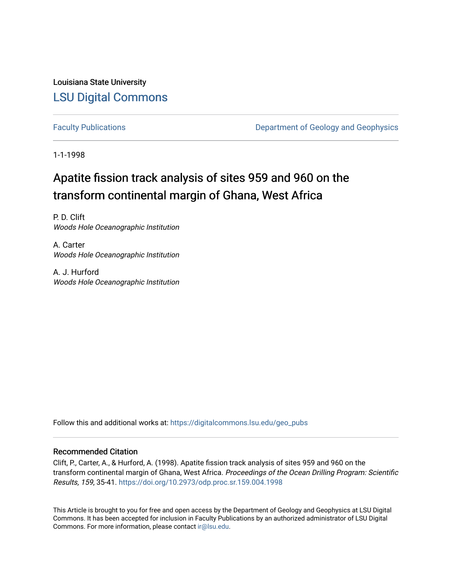Louisiana State University [LSU Digital Commons](https://digitalcommons.lsu.edu/)

[Faculty Publications](https://digitalcommons.lsu.edu/geo_pubs) **Exercise 2** Department of Geology and Geophysics

1-1-1998

# Apatite fission track analysis of sites 959 and 960 on the transform continental margin of Ghana, West Africa

P. D. Clift Woods Hole Oceanographic Institution

A. Carter Woods Hole Oceanographic Institution

A. J. Hurford Woods Hole Oceanographic Institution

Follow this and additional works at: [https://digitalcommons.lsu.edu/geo\\_pubs](https://digitalcommons.lsu.edu/geo_pubs?utm_source=digitalcommons.lsu.edu%2Fgeo_pubs%2F539&utm_medium=PDF&utm_campaign=PDFCoverPages)

# Recommended Citation

Clift, P., Carter, A., & Hurford, A. (1998). Apatite fission track analysis of sites 959 and 960 on the transform continental margin of Ghana, West Africa. Proceedings of the Ocean Drilling Program: Scientific Results, 159, 35-41. <https://doi.org/10.2973/odp.proc.sr.159.004.1998>

This Article is brought to you for free and open access by the Department of Geology and Geophysics at LSU Digital Commons. It has been accepted for inclusion in Faculty Publications by an authorized administrator of LSU Digital Commons. For more information, please contact [ir@lsu.edu](mailto:ir@lsu.edu).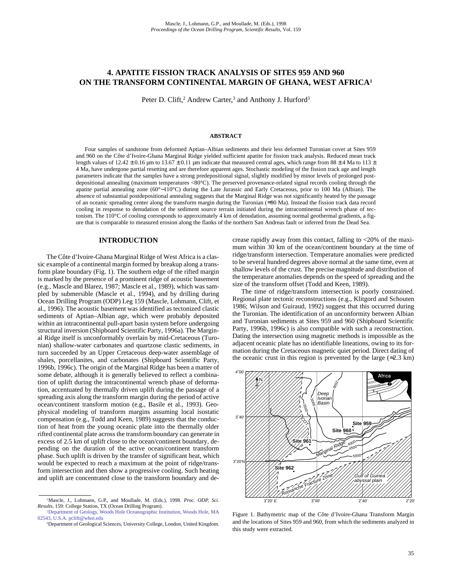# **4. APATITE FISSION TRACK ANALYSIS OF SITES 959 AND 960 ON THE TRANSFORM CONTINENTAL MARGIN OF GHANA, WEST AFRICA1**

Peter D. Clift,<sup>2</sup> Andrew Carter,<sup>3</sup> and Anthony J. Hurford<sup>3</sup>

#### **ABSTRACT**

Four samples of sandstone from deformed Aptian–Albian sediments and their less deformed Turonian cover at Sites 959 and 960 on the Côte d'Ivoire-Ghana Marginal Ridge yielded sufficient apatite for fission track analysis. Reduced mean track length values of 12.42  $\pm$  0.16 µm to 13.67  $\pm$  0.11 µm indicate that measured central ages, which range from 88  $\pm$  4 Ma to 113  $\pm$ 4 Ma, have undergone partial resetting and are therefore apparent ages. Stochastic modeling of the fission track age and length parameters indicate that the samples have a strong predepositional signal, slightly modified by minor levels of prolonged postdepositional annealing (maximum temperatures <80°C). The preserved provenance-related signal records cooling through the apatite partial annealing zone (60°−110°C) during the Late Jurassic and Early Cretaceous, prior to 100 Ma (Albian). The absence of substantial postdepositional annealing suggests that the Marginal Ridge was not significantly heated by the passage of an oceanic spreading center along the transform margin during the Turonian (≈90 Ma). Instead the fission track data record cooling in response to denudation of the sediment source terrain initiated during the intracontinental wrench phase of tectonism. The 110°C of cooling corresponds to approximately 4 km of denudation, assuming normal geothermal gradients, a figure that is comparable to measured erosion along the flanks of the northern San Andreas fault or inferred from the Dead Sea.

## **INTRODUCTION**

The Côte d'Ivoire-Ghana Marginal Ridge of West Africa is a classic example of a continental margin formed by breakup along a transform plate boundary (Fig. 1). The southern edge of the rifted margin is marked by the presence of a prominent ridge of acoustic basement (e.g., Mascle and Blarez, 1987; Mascle et al.*,* 1989), which was sampled by submersible (Mascle et al., 1994), and by drilling during Ocean Drilling Program (ODP) Leg 159 (Mascle, Lohmann, Clift, et al., 1996). The acoustic basement was identified as tectonized clastic sediments of Aptian–Albian age, which were probably deposited within an intracontinental pull-apart basin system before undergoing structural inversion (Shipboard Scientific Party, 1996a). The Marginal Ridge itself is unconformably overlain by mid-Cretaceous (Turonian) shallow-water carbonates and quartzose clastic sediments, in turn succeeded by an Upper Cretaceous deep-water assemblage of shales, porcellanites, and carbonates (Shipboard Scientific Party, 1996b, 1996c). The origin of the Marginal Ridge has been a matter of some debate, although it is generally believed to reflect a combination of uplift during the intracontinental wrench phase of deformation, accentuated by thermally driven uplift during the passage of a spreading axis along the transform margin during the period of active ocean/continent transform motion (e.g., Basile et al., 1993). Geophysical modeling of transform margins assuming local isostatic compensation (e.g., Todd and Keen, 1989) suggests that the conduction of heat from the young oceanic plate into the thermally older rifted continental plate across the transform boundary can generate in excess of 2.5 km of uplift close to the ocean/continent boundary, depending on the duration of the active ocean/continent transform phase. Such uplift is driven by the transfer of significant heat, which would be expected to reach a maximum at the point of ridge/transform intersection and then show a progressive cooling. Such heating and uplift are concentrated close to the transform boundary and decrease rapidly away from this contact, falling to <20% of the maximum within 30 km of the ocean/continent boundary at the time of ridge/transform intersection. Temperature anomalies were predicted to be several hundred degrees above normal at the same time, even at shallow levels of the crust. The precise magnitude and distribution of the temperature anomalies depends on the speed of spreading and the size of the transform offset (Todd and Keen, 1989).

The time of ridge/transform intersection is poorly constrained. Regional plate tectonic reconstructions (e.g., Klitgord and Schouten 1986; Wilson and Guiraud, 1992) suggest that this occurred during the Turonian. The identification of an unconformity between Albian and Turonian sediments at Sites 959 and 960 (Shipboard Scientific Party, 1996b, 1996c) is also compatible with such a reconstruction. Dating the intersection using magnetic methods is impossible as the adjacent oceanic plate has no identifiable lineations, owing to its formation during the Cretaceous magnetic quiet period. Direct dating of the oceanic crust in this region is prevented by the large  $(\approx 2.3 \text{ km})$ 



Figure 1. Bathymetric map of the Côte d'Ivoire-Ghana Transform Margin and the locations of Sites 959 and 960, from which the sediments analyzed in this study were extracted.

<sup>&</sup>lt;sup>1</sup>Mascle, J., Lohmann, G.P., and Moullade, M. (Eds.), 1998. *Proc. ODP*, Sci. *Results,* 159: College Station, TX (Ocean Drilling Program).

[<sup>2</sup>Department of Geology, Woods Hole Oceanographic Institution, Woods Hole, MA](mailto:pclift@whoi.edu) 02543, U.S.A. pclift@whoi.edu

<sup>3</sup>Department of Geological Sciences, University College, London, United Kingdom.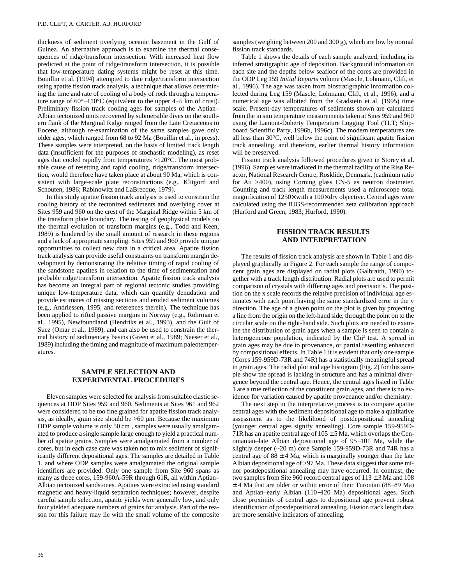thickness of sediment overlying oceanic basement in the Gulf of Guinea. An alternative approach is to examine the thermal consequences of ridge/transform intersection. With increased heat flow predicted at the point of ridge/transform intersection, it is possible that low-temperature dating systems might be reset at this time. Bouillin et al. (1994) attempted to date ridge/transform intersection using apatite fission track analysis, a technique that allows determining the time and rate of cooling of a body of rock through a temperature range of 60°−110°C (equivalent to the upper 4−5 km of crust). Preliminary fission track cooling ages for samples of the Aptian– Albian tectonized units recovered by submersible dives on the southern flank of the Marginal Ridge ranged from the Late Cretaceous to Eocene, although re-examination of the same samples gave only older ages, which ranged from 68 to 92 Ma (Bouillin et al., in press). These samples were interpreted, on the basis of limited track length data (insufficient for the purposes of stochastic modeling), as reset ages that cooled rapidly from temperatures >120°C. The most probable cause of resetting and rapid cooling, ridge/transform intersection, would therefore have taken place at about 90 Ma, which is consistent with large-scale plate reconstructions (e.g., Klitgord and Schouten, 1986; Rabinowitz and LaBrecque, 1979).

In this study apatite fission track analysis is used to constrain the cooling history of the tectonized sediments and overlying cover at Sites 959 and 960 on the crest of the Marginal Ridge within 5 km of the transform plate boundary. The testing of geophysical models on the thermal evolution of transform margins (e.g., Todd and Keen, 1989) is hindered by the small amount of research in these regions and a lack of appropriate sampling. Sites 959 and 960 provide unique opportunities to collect new data in a critical area. Apatite fission track analysis can provide useful constraints on transform margin development by demonstrating the relative timing of rapid cooling of the sandstone apatites in relation to the time of sedimentation and probable ridge/transform intersection. Apatite fission track analysis has become an integral part of regional tectonic studies providing unique low-temperature data, which can quantify denudation and provide estimates of missing sections and eroded sediment volumes (e.g., Andriessen, 1995, and references therein). The technique has been applied to rifted passive margins in Norway (e.g., Rohrman et al., 1995), Newfoundland (Hendriks et al., 1993), and the Gulf of Suez (Omar et al., 1989), and can also be used to constrain the thermal history of sedimentary basins (Green et al., 1989; Naeser et al., 1989) including the timing and magnitude of maximum paleotemperatures.

# **SAMPLE SELECTION AND EXPERIMENTAL PROCEDURES**

Eleven samples were selected for analysis from suitable clastic sequences at ODP Sites 959 and 960. Sediments at Sites 961 and 962 were considered to be too fine grained for apatite fission track analysis, as ideally, grain size should be  $>60 \mu$ m. Because the maximum ODP sample volume is only 50 cm<sup>3</sup>, samples were usually amalgamated to produce a single sample large enough to yield a practical number of apatite grains. Samples were amalgamated from a number of cores, but in each case care was taken not to mix sediment of significantly different depositional ages. The samples are detailed in Table 1, and where ODP samples were amalgamated the original sample identifiers are provided. Only one sample from Site 960 spans as many as three cores, 159-960A-59R through 61R, all within Aptian– Albian tectonized sandstones. Apatites were extracted using standard magnetic and heavy-liquid separation techniques; however, despite careful sample selection, apatite yields were generally low, and only four yielded adequate numbers of grains for analysis. Part of the reason for this failure may lie with the small volume of the composite samples (weighing between 200 and 300 g), which are low by normal fission track standards.

Table 1 shows the details of each sample analyzed, including its inferred stratigraphic age of deposition. Background information on each site and the depths below seafloor of the cores are provided in the ODP Leg 159 *Initial Reports* volume (Mascle, Lohmann, Clift, et al., 1996). The age was taken from biostratigraphic information collected during Leg 159 (Mascle, Lohmann, Clift, et al., 1996), and a numerical age was allotted from the Gradstein et al. (1995) time scale. Present-day temperatures of sediments shown are calculated from the in situ temperature measurements taken at Sites 959 and 960 using the Lamont-Doherty Temperature Logging Tool (TLT; Shipboard Scientific Party, 1996b, 1996c). The modern temperatures are all less than 30°C, well below the point of significant apatite fission track annealing, and therefore, earlier thermal history information will be preserved.

Fission track analysis followed procedures given in Storey et al. (1996). Samples were irradiated in the thermal facility of the Risø Reactor, National Research Centre, Rosklide, Denmark, (cadmium ratio for Au >400), using Corning glass CN-5 as neutron dosimeter. Counting and track length measurements used a microscope total magnification of 1250× with a 100× dry objective. Central ages were calculated using the IUGS-recommended zeta calibration approach (Hurford and Green, 1983; Hurford, 1990).

## **FISSION TRACK RESULTS AND INTERPRETATION**

The results of fission track analysis are shown in Table 1 and displayed graphically in Figure 2. For each sample the range of component grain ages are displayed on radial plots (Galbraith, 1990) together with a track length distribution. Radial plots are used to permit comparison of crystals with differing ages and precision's. The position on the x scale records the relative precision of individual age estimates with each point having the same standardized error in the y direction. The age of a given point on the plot is given by projecting a line from the origin on the left-hand side, through the point on to the circular scale on the right-hand side. Such plots are needed to examine the distribution of grain ages when a sample is seen to contain a heterogeneous population, indicated by the Chi<sup>2</sup> test. A spread in grain ages may be due to provenance, or partial resettling enhanced by compositional effects. In Table 1 it is evident that only one sample (Cores 159-959D-73R and 74R) has a statistically meaningful spread in grain ages. The radial plot and age histogram (Fig. 2) for this sample show the spread is lacking in structure and has a minimal divergence beyond the central age. Hence, the central ages listed in Table 1 are a true reflection of the constituent grain ages, and there is no evidence for variation caused by apatite provenance and/or chemistry.

The next step in the interpretative process is to compare apatite central ages with the sediment depositional age to make a qualitative assessment as to the likelihood of postdepositional annealing (younger central ages signify annealing). Core sample 159-959D-71R has an apatite central age of  $105 \pm 5$  Ma, which overlaps the Cenomanian–late Albian depositional age of 95−101 Ma, while the slightly deeper (~20 m) core Sample 159-959D-73R and 74R has a central age of  $88 \pm 4$  Ma, which is marginally younger than the late Albian depositional age of >97 Ma. These data suggest that some minor postdepositional annealing may have occurred. In contrast, the two samples from Site 960 record central ages of  $113 \pm 3$  Ma and 108 ± 4 Ma that are older or within error of their Turonian (88−89 Ma) and Aptian–early Albian (110−120 Ma) depositional ages. Such close proximity of central ages to depositional age prevent robust identification of postdepositional annealing. Fission track length data are more sensitive indicators of annealing.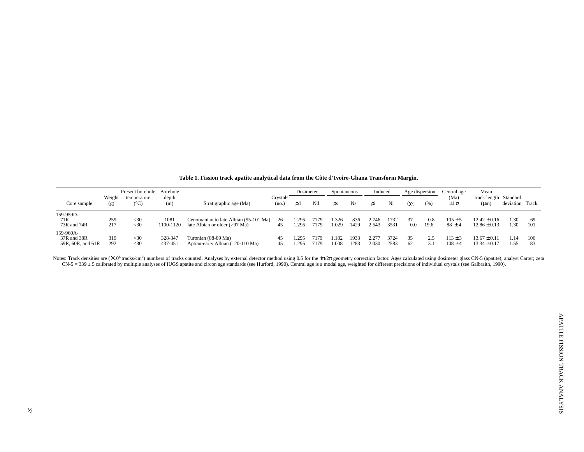|                                               |               | Present borehole<br>temperature<br>$^{\circ}\mathrm{C}$ , | Borehole           | Stratigraphic age (Ma)                                                 | Crystals<br>(no.) | Dosimeter     |              | Spontaneous    |              | Induced        |              | Age dispersion |             | Central age                | Mean                                 |                 |           |
|-----------------------------------------------|---------------|-----------------------------------------------------------|--------------------|------------------------------------------------------------------------|-------------------|---------------|--------------|----------------|--------------|----------------|--------------|----------------|-------------|----------------------------|--------------------------------------|-----------------|-----------|
| Core sample                                   | Weight<br>(g) |                                                           | depth<br>(m)       |                                                                        |                   | od            | Nd           | <b>OS</b>      | Ns           | 01             | Ni           | $(\chi^2)$     | (% )        | (Ma)<br>$\pm 1 \sigma$     | track length Standard<br>$(\mu m)$   | deviation Track |           |
| 159-959D-                                     |               |                                                           |                    |                                                                        |                   |               |              |                |              |                |              |                |             |                            |                                      |                 |           |
| 71R<br>73R and 74R                            | 259<br>217    | $<$ 30<br>$<$ 30                                          | 1081<br>1100-1120  | Cenomanian to late Albian (95-101 Ma)<br>late Albian or older (>97 Ma) | 26<br>45          | . 295<br>.295 | 7179<br>7179 | 1.326<br>1.029 | 836<br>1429  | 2.746<br>2.543 | 1732<br>3531 | 0.0            | 0.8<br>19.6 | $105 \pm 5$<br>$88 \pm 4$  | $12.42 \pm 0.16$<br>$12.86 \pm 0.13$ | 1.30<br>.30     | 69<br>101 |
| 159-960A-<br>37R and 38R<br>59R, 60R, and 61R | 319<br>292    | $<$ 30<br>$<$ 30                                          | 328-347<br>437-451 | Turonian (88-89 Ma)<br>Aptian-early Albian (120-110 Ma)                | 45<br>45          | .295<br>.295  | 7179<br>7179 | .182<br>.008   | 1933<br>1283 | 1.277<br>2.030 | 3724<br>2583 | 62             | 2.5<br>3.1  | $.13 \pm 3$<br>$108 \pm 4$ | $13.67 \pm 0.11$<br>$13.34 \pm 0.17$ | 1.14<br>1.55    | 106<br>83 |

**Table 1. Fission track apatite analytical data from the Côte d'Ivoire-Ghana Transform Margin.**

Notes: Track densities are (X10<sup>6</sup> tracks/cm<sup>2</sup>) numbers of tracks counted. Analyses by external detector method using 0.5 for the 4 $\pi/2\pi$  geometry correction factor. Ages calculated using dosimeter glass CN-5 (apatite); CN-5 = 339 ± 5 calibrated by multiple analyses of IUGS apatite and zircon age standards (see Hurford, 1990). Central age is a modal age, weighted for different precisions of individual crystals (see Galbraith, 1990).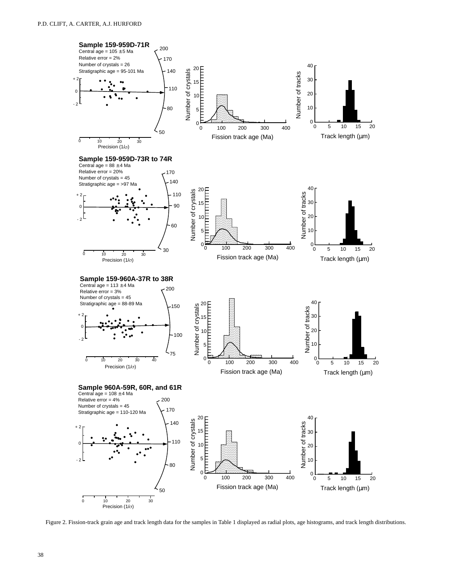

Figure 2. Fission-track grain age and track length data for the samples in Table 1 displayed as radial plots, age histograms, and track length distributions.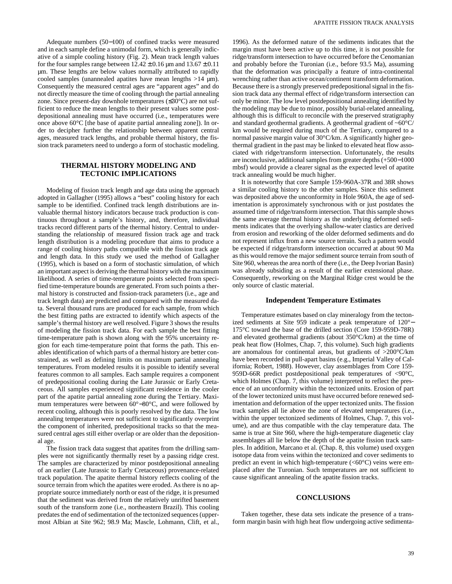Adequate numbers (50−100) of confined tracks were measured and in each sample define a unimodal form, which is generally indicative of a simple cooling history (Fig. 2). Mean track length values for the four samples range between  $12.42 \pm 0.16$  µm and  $13.67 \pm 0.11$ µm. These lengths are below values normally attributed to rapidly cooled samples (unannealed apatites have mean lengths  $>14 \mu m$ ). Consequently the measured central ages are "apparent ages" and do not directly measure the time of cooling through the partial annealing zone. Since present-day downhole temperatures (≤30°C) are not sufficient to reduce the mean lengths to their present values some postdepositional annealing must have occurred (i.e., temperatures were once above 60°C [the base of apatite partial annealing zone]). In order to decipher further the relationship between apparent central ages, measured track lengths, and probable thermal history, the fission track parameters need to undergo a form of stochastic modeling.

### **THERMAL HISTORY MODELING AND TECTONIC IMPLICATIONS**

Modeling of fission track length and age data using the approach adopted in Gallagher (1995) allows a "best" cooling history for each sample to be identified. Confined track length distributions are invaluable thermal history indicators because track production is continuous throughout a sample's history, and, therefore, individual tracks record different parts of the thermal history. Central to understanding the relationship of measured fission track age and track length distribution is a modeling procedure that aims to produce a range of cooling history paths compatible with the fission track age and length data. In this study we used the method of Gallagher (1995), which is based on a form of stochastic simulation, of which an important aspect is deriving the thermal history with the maximum likelihood. A series of time-temperature points selected from specified time-temperature bounds are generated. From such points a thermal history is constructed and fission-track parameters (i.e., age and track length data) are predicted and compared with the measured data. Several thousand runs are produced for each sample, from which the best fitting paths are extracted to identify which aspects of the sample's thermal history are well resolved. Figure 3 shows the results of modeling the fission track data. For each sample the best fitting time-temperature path is shown along with the 95% uncertainty region for each time-temperature point that forms the path. This enables identification of which parts of a thermal history are better constrained, as well as defining limits on maximum partial annealing temperatures. From modeled results it is possible to identify several features common to all samples. Each sample requires a component of predepositional cooling during the Late Jurassic or Early Cretaceous. All samples experienced significant residence in the cooler part of the apatite partial annealing zone during the Tertiary. Maximum temperatures were between 60°−80°C, and were followed by recent cooling, although this is poorly resolved by the data. The low annealing temperatures were not sufficient to significantly overprint the component of inherited, predepositional tracks so that the measured central ages still either overlap or are older than the depositional age.

The fission track data suggest that apatites from the drilling samples were not significantly thermally reset by a passing ridge crest. The samples are characterized by minor postdepositional annealing of an earlier (Late Jurassic to Early Cretaceous) provenance-related track population. The apatite thermal history reflects cooling of the source terrain from which the apatites were eroded. As there is no appropriate source immediately north or east of the ridge, it is presumed that the sediment was derived from the relatively unrifted basement south of the transform zone (i.e., northeastern Brazil). This cooling predates the end of sedimentation of the tectonized sequences (uppermost Albian at Site 962; 98.9 Ma; Mascle, Lohmann, Clift, et al.,

1996). As the deformed nature of the sediments indicates that the margin must have been active up to this time, it is not possible for ridge/transform intersection to have occurred before the Cenomanian and probably before the Turonian (i.e., before 93.5 Ma), assuming that the deformation was principally a feature of intra-continental wrenching rather than active ocean/continent transform deformation. Because there is a strongly preserved predepositional signal in the fission track data any thermal effect of ridge/transform intersection can only be minor. The low level postdepositional annealing identified by the modeling may be due to minor, possibly burial-related annealing, although this is difficult to reconcile with the preserved stratigraphy and standard geothermal gradients. A geothermal gradient of  $~60^{\circ}$ C/ km would be required during much of the Tertiary, compared to a normal passive margin value of 30°C/km. A significantly higher geothermal gradient in the past may be linked to elevated heat flow associated with ridge/transform intersection. Unfortunately, the results are inconclusive, additional samples from greater depths (+500−1000 mbsf) would provide a clearer signal as the expected level of apatite track annealing would be much higher.

It is noteworthy that core Sample 159-960A-37R and 38R shows a similar cooling history to the other samples. Since this sediment was deposited above the unconformity in Hole 960A, the age of sedimentation is approximately synchronous with or just postdates the assumed time of ridge/transform intersection. That this sample shows the same average thermal history as the underlying deformed sediments indicates that the overlying shallow-water clastics are derived from erosion and reworking of the older deformed sediments and do not represent influx from a new source terrain. Such a pattern would be expected if ridge/transform intersection occurred at about 90 Ma as this would remove the major sediment source terrain from south of Site 960, whereas the area north of there (i.e., the Deep Ivorian Basin) was already subsiding as a result of the earlier extensional phase. Consequently, reworking on the Marginal Ridge crest would be the only source of clastic material.

#### **Independent Temperature Estimates**

Temperature estimates based on clay mineralogy from the tectonized sediments at Site 959 indicate a peak temperature of 120°− 175°C toward the base of the drilled section (Core 159-959D-78R) and elevated geothermal gradients (about 350°C/km) at the time of peak heat flow (Holmes, Chap. 7, this volume). Such high gradients are anomalous for continental areas, but gradients of >200°C/km have been recorded in pull-apart basins (e.g., Imperial Valley of California; Robert, 1988). However, clay assemblages from Core 159- 959D-66R predict postdepositional peak temperatures of <90°C, which Holmes (Chap. 7, this volume) interpreted to reflect the presence of an unconformity within the tectonized units. Erosion of part of the lower tectonized units must have occurred before renewed sedimentation and deformation of the upper tectonized units. The fission track samples all lie above the zone of elevated temperatures (i.e., within the upper tectonized sediments of Holmes, Chap. 7, this volume), and are thus compatible with the clay temperature data. The same is true at Site 960, where the high-temperature diagenetic clay assemblages all lie below the depth of the apatite fission track samples. In addition, Marcano et al. (Chap. 8, this volume) used oxygen isotope data from veins within the tectonized and cover sediments to predict an event in which high-temperature  $(<60^{\circ}C$ ) veins were emplaced after the Turonian. Such temperatures are not sufficient to cause significant annealing of the apatite fission tracks.

#### **CONCLUSIONS**

Taken together, these data sets indicate the presence of a transform margin basin with high heat flow undergoing active sedimenta-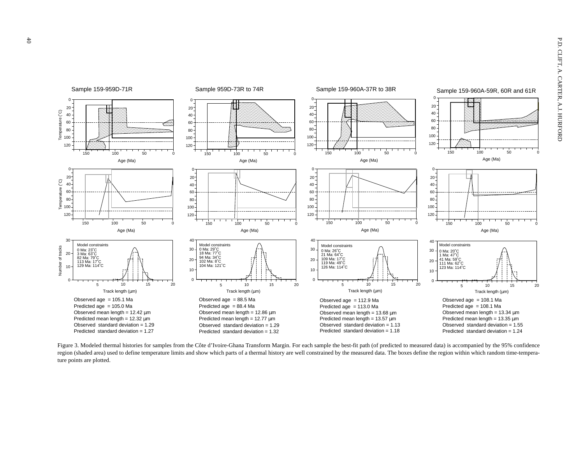

Figure 3. Modeled thermal histories for samples from the Côte d'Ivoire-Ghana Transform Margin. For each sample the best-fit path (of predicted to measured data) is accompanied by the 95% confidence region (shaded area) used to define temperature limits and show which parts of a thermal history are well constrained by the measured data. The boxes define the region within which random time-temperature points are plotted.